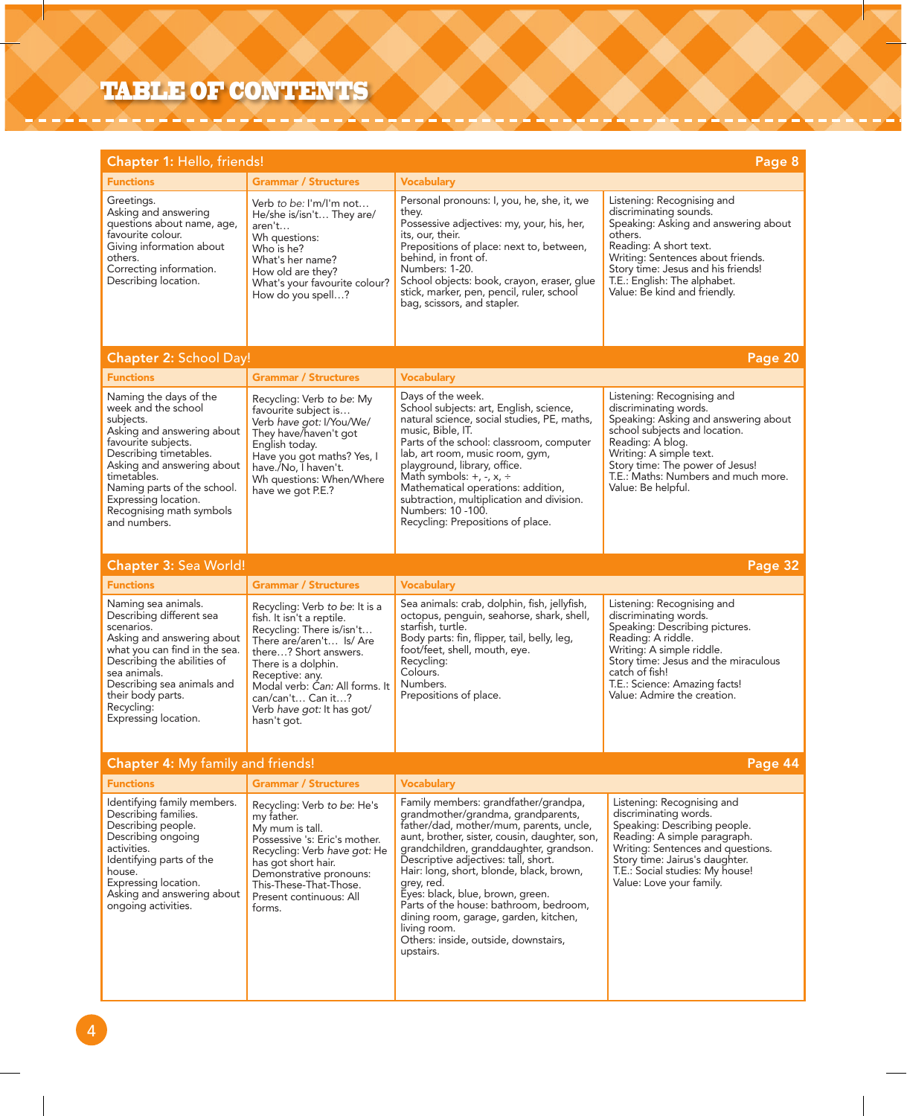## TABLE OF CONTENTS

| Chapter 1: Hello, friends!<br>Page 8                                                                                                                                                                                                                                                      |                                                                                                                                                                                                                                                                                             |                                                                                                                                                                                                                                                                                                                                                                                                                                                                                                                 |                                                                                                                                                                                                                                                                              |  |
|-------------------------------------------------------------------------------------------------------------------------------------------------------------------------------------------------------------------------------------------------------------------------------------------|---------------------------------------------------------------------------------------------------------------------------------------------------------------------------------------------------------------------------------------------------------------------------------------------|-----------------------------------------------------------------------------------------------------------------------------------------------------------------------------------------------------------------------------------------------------------------------------------------------------------------------------------------------------------------------------------------------------------------------------------------------------------------------------------------------------------------|------------------------------------------------------------------------------------------------------------------------------------------------------------------------------------------------------------------------------------------------------------------------------|--|
| <b>Functions</b>                                                                                                                                                                                                                                                                          | <b>Grammar / Structures</b>                                                                                                                                                                                                                                                                 | <b>Vocabulary</b>                                                                                                                                                                                                                                                                                                                                                                                                                                                                                               |                                                                                                                                                                                                                                                                              |  |
| Greetings.<br>Asking and answering<br>questions about name, age,<br>favourite colour.<br>Giving information about<br>others.<br>Correcting information.<br>Describing location.                                                                                                           | Verb to be: I'm/I'm not<br>He/she is/isn't They are/<br>aren't<br>Wh questions:<br>Who is he?<br>What's her name?<br>How old are they?<br>What's your favourite colour?<br>How do you spell?                                                                                                | Personal pronouns: I, you, he, she, it, we<br>they.<br>Possessive adjectives: my, your, his, her,<br>its, our, their.<br>Prepositions of place: next to, between,<br>behind, in front of.<br>Numbers: 1-20.<br>School objects: book, crayon, eraser, glue<br>stick, marker, pen, pencil, ruler, school<br>bag, scissors, and stapler.                                                                                                                                                                           | Listening: Recognising and<br>discriminating sounds.<br>Speaking: Asking and answering about<br>others.<br>Reading: A short text.<br>Writing: Sentences about friends.<br>Story time: Jesus and his friends!<br>T.E.: English: The alphabet.<br>Value: Be kind and friendly. |  |
| Chapter 2: School Day!<br>Page 20                                                                                                                                                                                                                                                         |                                                                                                                                                                                                                                                                                             |                                                                                                                                                                                                                                                                                                                                                                                                                                                                                                                 |                                                                                                                                                                                                                                                                              |  |
| <b>Functions</b>                                                                                                                                                                                                                                                                          | <b>Grammar / Structures</b>                                                                                                                                                                                                                                                                 | <b>Vocabulary</b>                                                                                                                                                                                                                                                                                                                                                                                                                                                                                               |                                                                                                                                                                                                                                                                              |  |
| Naming the days of the<br>week and the school<br>subjects.<br>Asking and answering about<br>favourite subjects.<br>Describing timetables.<br>Asking and answering about<br>timetables.<br>Naming parts of the school.<br>Expressing location.<br>Recognising math symbols<br>and numbers. | Recycling: Verb to be: My<br>favourite subject is<br>Verb have got: I/You/We/<br>They have/haven't got<br>English today.<br>Have you got maths? Yes, I<br>have./No, I haven't.<br>Wh questions: When/Where<br>have we got P.E.?                                                             | Days of the week.<br>School subjects: art, English, science,<br>natural science, social studies, PE, maths,<br>music, Bible, IT.<br>Parts of the school: classroom, computer<br>lab, art room, music room, gym,<br>playground, library, office.<br>Math symbols: $+$ , $-$ , $x$ , $\div$<br>Mathematical operations: addition,<br>subtraction, multiplication and division.<br>Numbers: 10 -100.<br>Recycling: Prepositions of place.                                                                          | Listening: Recognising and<br>discriminating words.<br>Speaking: Asking and answering about<br>school subjects and location.<br>Reading: A blog.<br>Writing: A simple text.<br>Story time: The power of Jesus!<br>T.E.: Maths: Numbers and much more.<br>Value: Be helpful.  |  |
| Chapter 3: Sea World!                                                                                                                                                                                                                                                                     |                                                                                                                                                                                                                                                                                             |                                                                                                                                                                                                                                                                                                                                                                                                                                                                                                                 | Page 32                                                                                                                                                                                                                                                                      |  |
| <b>Functions</b>                                                                                                                                                                                                                                                                          | <b>Grammar / Structures</b>                                                                                                                                                                                                                                                                 | <b>Vocabulary</b>                                                                                                                                                                                                                                                                                                                                                                                                                                                                                               |                                                                                                                                                                                                                                                                              |  |
| Naming sea animals.<br>Describing different sea<br>scenarios.<br>Asking and answering about<br>what you can find in the sea.<br>Describing the abilities of<br>sea animals.<br>Describing sea animals and<br>their body parts.<br>Recycling:<br>Expressing location.                      | Recycling: Verb to be: It is a<br>fish. It isn't a reptile.<br>Recycling: There is/isn't<br>There are/aren't Is/ Are<br>there? Short answers.<br>There is a dolphin.<br>Receptive: any.<br>Modal verb: Can: All forms. It<br>can/can't Can it?<br>Verb have got: It has got/<br>hasn't got. | Sea animals: crab, dolphin, fish, jellyfish,<br>octopus, penguin, seahorse, shark, shell,<br>starfish, turtle.<br>Body parts: fin, flipper, tail, belly, leg,<br>foot/feet, shell, mouth, eye.<br>Recycling:<br>Colours.<br>Numbers.<br>Prepositions of place.                                                                                                                                                                                                                                                  | Listening: Recognising and<br>discriminating words.<br>Speaking: Describing pictures.<br>Reading: A riddle.<br>Writing: A simple riddle.<br>Story time: Jesus and the miraculous<br>catch of fish!<br>T.E.: Science: Amazing facts!<br>Value: Admire the creation.           |  |
| <b>Chapter 4: My family and friends!</b>                                                                                                                                                                                                                                                  |                                                                                                                                                                                                                                                                                             |                                                                                                                                                                                                                                                                                                                                                                                                                                                                                                                 | Page 44                                                                                                                                                                                                                                                                      |  |
| <b>Functions</b>                                                                                                                                                                                                                                                                          | <b>Grammar / Structures</b>                                                                                                                                                                                                                                                                 | <b>Vocabulary</b>                                                                                                                                                                                                                                                                                                                                                                                                                                                                                               |                                                                                                                                                                                                                                                                              |  |
| Identifying family members.<br>Describing families.<br>Describing people.<br>Describing ongoing<br>activities.<br>Identifying parts of the<br>house.<br>Expressing location.<br>Asking and answering about<br>ongoing activities.                                                         | Recycling: Verb to be: He's<br>my father.<br>My mum is tall.<br>Possessive 's: Eric's mother.<br>Recycling: Verb have got: He<br>has got short hair.<br>Demonstrative pronouns:<br>This-These-That-Those.<br>Present continuous: All<br>forms.                                              | Family members: grandfather/grandpa,<br>grandmother/grandma, grandparents,<br>father/dad, mother/mum, parents, uncle,<br>aunt, brother, sister, cousin, daughter, son,<br>grandchildren, granddaughter, grandson.<br>Descriptive adjectives: tall, short.<br>Hair: long, short, blonde, black, brown,<br>grey, red.<br>Eyes: black, blue, brown, green.<br>Parts of the house: bathroom, bedroom,<br>dining room, garage, garden, kitchen,<br>living room.<br>Others: inside, outside, downstairs,<br>upstairs. | Listening: Recognising and<br>discriminating words.<br>Speaking: Describing people.<br>Reading: A simple paragraph.<br>Writing: Sentences and questions.<br>Story time: Jairus's daughter.<br>T.E.: Social studies: My house!<br>Value: Love your family.                    |  |